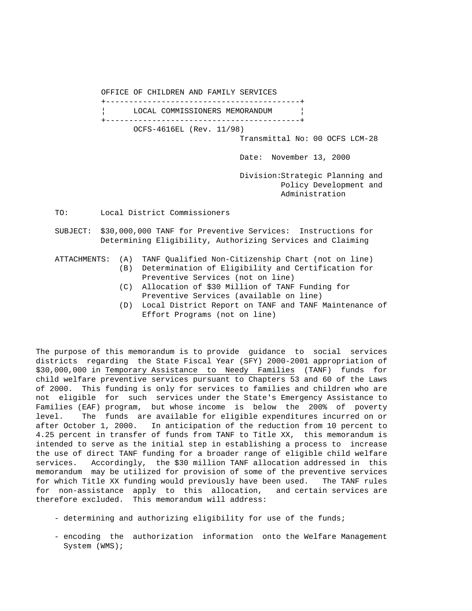OFFICE OF CHILDREN AND FAMILY SERVICES +------------------------------------------+ LOCAL COMMISSIONERS MEMORANDUM +------------------------------------------+ OCFS-4616EL (Rev. 11/98) Transmittal No: 00 OCFS LCM-28

Date: November 13, 2000

 Division:Strategic Planning and Policy Development and Administration

TO: Local District Commissioners

 SUBJECT: \$30,000,000 TANF for Preventive Services: Instructions for Determining Eligibility, Authorizing Services and Claiming

## ATTACHMENTS: (A) TANF Qualified Non-Citizenship Chart (not on line)

- (B) Determination of Eligibility and Certification for Preventive Services (not on line)
- (C) Allocation of \$30 Million of TANF Funding for Preventive Services (available on line)
- (D) Local District Report on TANF and TANF Maintenance of Effort Programs (not on line)

The purpose of this memorandum is to provide guidance to social services districts regarding the State Fiscal Year (SFY) 2000-2001 appropriation of \$30,000,000 in Temporary Assistance to Needy Families (TANF) funds for child welfare preventive services pursuant to Chapters 53 and 60 of the Laws of 2000. This funding is only for services to families and children who are not eligible for such services under the State's Emergency Assistance to Families (EAF) program, but whose income is below the 200% of poverty level. The funds are available for eligible expenditures incurred on or after October 1, 2000. In anticipation of the reduction from 10 percent to 4.25 percent in transfer of funds from TANF to Title XX, this memorandum is intended to serve as the initial step in establishing a process to increase the use of direct TANF funding for a broader range of eligible child welfare services. Accordingly, the \$30 million TANF allocation addressed in this memorandum may be utilized for provision of some of the preventive services for which Title XX funding would previously have been used. The TANF rules for non-assistance apply to this allocation, and certain services are therefore excluded. This memorandum will address:

- determining and authorizing eligibility for use of the funds;
- encoding the authorization information onto the Welfare Management System (WMS);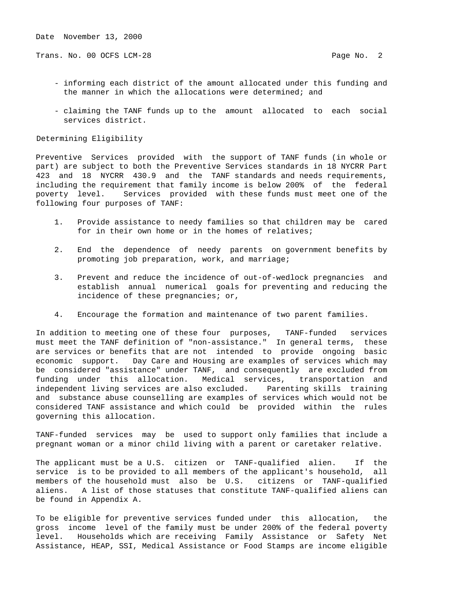Trans. No. 00 OCFS LCM-28 **Page No. 2** Page No. 2

- informing each district of the amount allocated under this funding and the manner in which the allocations were determined; and
- claiming the TANF funds up to the amount allocated to each social services district.

#### Determining Eligibility

Preventive Services provided with the support of TANF funds (in whole or part) are subject to both the Preventive Services standards in 18 NYCRR Part 423 and 18 NYCRR 430.9 and the TANF standards and needs requirements, including the requirement that family income is below 200% of the federal poverty level. Services provided with these funds must meet one of the following four purposes of TANF:

- 1. Provide assistance to needy families so that children may be cared for in their own home or in the homes of relatives;
- 2. End the dependence of needy parents on government benefits by promoting job preparation, work, and marriage;
- 3. Prevent and reduce the incidence of out-of-wedlock pregnancies and establish annual numerical goals for preventing and reducing the incidence of these pregnancies; or,
- 4. Encourage the formation and maintenance of two parent families.

In addition to meeting one of these four purposes, TANF-funded services must meet the TANF definition of "non-assistance." In general terms, these are services or benefits that are not intended to provide ongoing basic economic support. Day Care and Housing are examples of services which may be considered "assistance" under TANF, and consequently are excluded from funding under this allocation. Medical services, transportation and independent living services are also excluded. Parenting skills training and substance abuse counselling are examples of services which would not be considered TANF assistance and which could be provided within the rules governing this allocation.

TANF-funded services may be used to support only families that include a pregnant woman or a minor child living with a parent or caretaker relative.

The applicant must be a U.S. citizen or TANF-qualified alien. If the service is to be provided to all members of the applicant's household, all members of the household must also be U.S. citizens or TANF-qualified aliens. A list of those statuses that constitute TANF-qualified aliens can be found in Appendix A.

To be eligible for preventive services funded under this allocation, the gross income level of the family must be under 200% of the federal poverty level. Households which are receiving Family Assistance or Safety Net Assistance, HEAP, SSI, Medical Assistance or Food Stamps are income eligible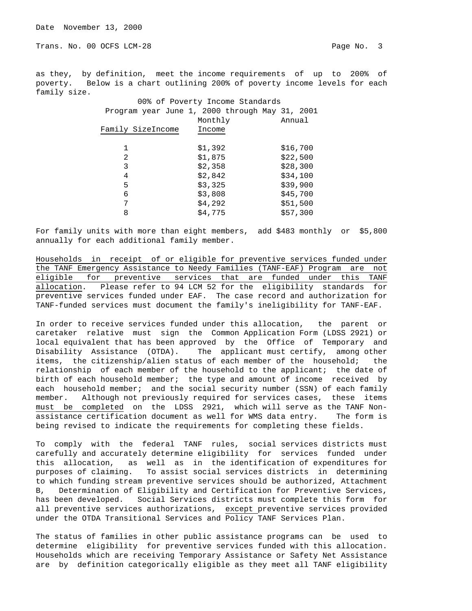Trans. No. 00 OCFS LCM-28 **Page No. 3** 

as they, by definition, meet the income requirements of up to 200% of poverty. Below is a chart outlining 200% of poverty income levels for each family size.

|                   | 00% of Poverty Income Standards                |          |
|-------------------|------------------------------------------------|----------|
|                   | Program year June 1, 2000 through May 31, 2001 |          |
|                   | Monthly                                        | Annual   |
| Family SizeIncome | Income                                         |          |
|                   |                                                |          |
|                   | \$1,392                                        | \$16,700 |
| 2                 | \$1,875                                        | \$22,500 |
| 3                 | \$2,358                                        | \$28,300 |
| 4                 | \$2,842                                        | \$34,100 |
| 5                 | \$3,325                                        | \$39,900 |
| 6                 | \$3,808                                        | \$45,700 |
| 7                 | \$4,292                                        | \$51,500 |
| 8                 | \$4,775                                        | \$57,300 |

For family units with more than eight members, add \$483 monthly or \$5,800 annually for each additional family member.

Households in receipt of or eligible for preventive services funded under the TANF Emergency Assistance to Needy Families (TANF-EAF) Program are not eligible for preventive services that are funded under this TANF allocation. Please refer to 94 LCM 52 for the eligibility standards for preventive services funded under EAF. The case record and authorization for TANF-funded services must document the family's ineligibility for TANF-EAF.

In order to receive services funded under this allocation, the parent or caretaker relative must sign the Common Application Form (LDSS 2921) or local equivalent that has been approved by the Office of Temporary and Disability Assistance (OTDA). The applicant must certify, among other items, the citizenship/alien status of each member of the household; the relationship of each member of the household to the applicant; the date of birth of each household member; the type and amount of income received by each household member; and the social security number (SSN) of each family member. Although not previously required for services cases, these items must be completed on the LDSS 2921, which will serve as the TANF Nonassistance certification document as well for WMS data entry. The form is being revised to indicate the requirements for completing these fields.

To comply with the federal TANF rules, social services districts must carefully and accurately determine eligibility for services funded under this allocation, as well as in the identification of expenditures for purposes of claiming. To assist social services districts in determining to which funding stream preventive services should be authorized, Attachment B, Determination of Eligibility and Certification for Preventive Services, has been developed. Social Services districts must complete this form for all preventive services authorizations, except preventive services provided under the OTDA Transitional Services and Policy TANF Services Plan.

The status of families in other public assistance programs can be used to determine eligibility for preventive services funded with this allocation. Households which are receiving Temporary Assistance or Safety Net Assistance are by definition categorically eligible as they meet all TANF eligibility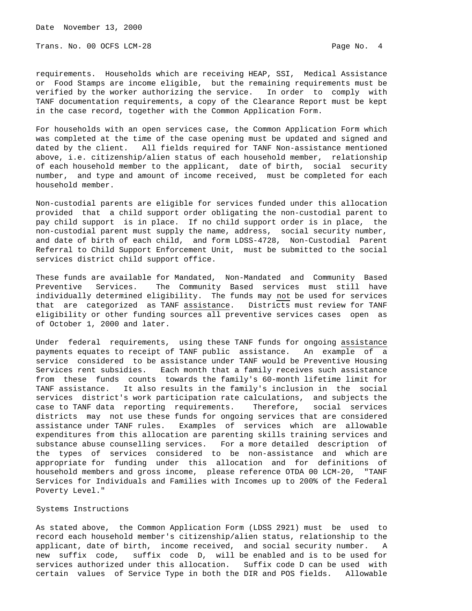Date November 13, 2000

Trans. No. 00 OCFS LCM-28 **Page No. 4** 

requirements. Households which are receiving HEAP, SSI, Medical Assistance or Food Stamps are income eligible, but the remaining requirements must be verified by the worker authorizing the service. In order to comply with TANF documentation requirements, a copy of the Clearance Report must be kept in the case record, together with the Common Application Form.

For households with an open services case, the Common Application Form which was completed at the time of the case opening must be updated and signed and dated by the client. All fields required for TANF Non-assistance mentioned above, i.e. citizenship/alien status of each household member, relationship of each household member to the applicant, date of birth, social security number, and type and amount of income received, must be completed for each household member.

Non-custodial parents are eligible for services funded under this allocation provided that a child support order obligating the non-custodial parent to pay child support is in place. If no child support order is in place, the non-custodial parent must supply the name, address, social security number, and date of birth of each child, and form LDSS-4728, Non-Custodial Parent Referral to Child Support Enforcement Unit, must be submitted to the social services district child support office.

These funds are available for Mandated, Non-Mandated and Community Based Preventive Services. The Community Based services must still have individually determined eligibility. The funds may not be used for services that are categorized as TANF assistance. Districts must review for TANF eligibility or other funding sources all preventive services cases open as of October 1, 2000 and later.

Under federal requirements, using these TANF funds for ongoing assistance payments equates to receipt of TANF public assistance. An example of a service considered to be assistance under TANF would be Preventive Housing Services rent subsidies. Each month that a family receives such assistance from these funds counts towards the family's 60-month lifetime limit for TANF assistance. It also results in the family's inclusion in the social services district's work participation rate calculations, and subjects the case to TANF data reporting requirements. Therefore, social services districts may not use these funds for ongoing services that are considered assistance under TANF rules. Examples of services which are allowable expenditures from this allocation are parenting skills training services and substance abuse counselling services. For a more detailed description of the types of services considered to be non-assistance and which are appropriate for funding under this allocation and for definitions of household members and gross income, please reference OTDA 00 LCM-20, "TANF Services for Individuals and Families with Incomes up to 200% of the Federal Poverty Level."

### Systems Instructions

As stated above, the Common Application Form (LDSS 2921) must be used to record each household member's citizenship/alien status, relationship to the applicant, date of birth, income received, and social security number. A new suffix code, suffix code D, will be enabled and is to be used for services authorized under this allocation. Suffix code D can be used with certain values of Service Type in both the DIR and POS fields. Allowable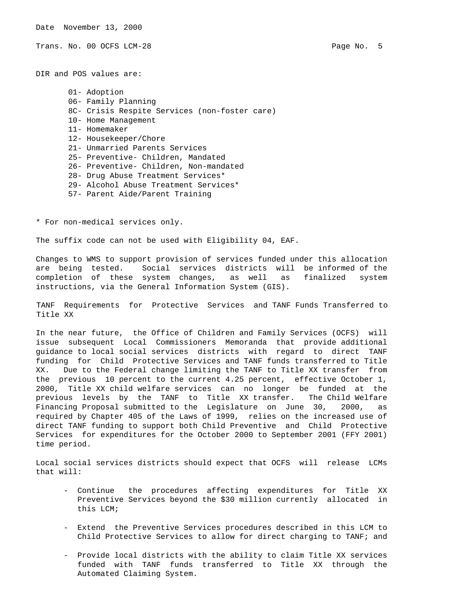Date November 13, 2000

Trans. No. 00 OCFS LCM-28 **Page No. 5** Page No. 5

DIR and POS values are:

 01- Adoption 06- Family Planning 8C- Crisis Respite Services (non-foster care) 10- Home Management 11- Homemaker 12- Housekeeper/Chore 21- Unmarried Parents Services 25- Preventive- Children, Mandated 26- Preventive- Children, Non-mandated 28- Drug Abuse Treatment Services\* 29- Alcohol Abuse Treatment Services\* 57- Parent Aide/Parent Training

\* For non-medical services only.

The suffix code can not be used with Eligibility 04, EAF.

Changes to WMS to support provision of services funded under this allocation are being tested. Social services districts will be informed of the completion of these system changes, as well as finalized system instructions, via the General Information System (GIS).

TANF Requirements for Protective Services and TANF Funds Transferred to Title XX

In the near future, the Office of Children and Family Services (OCFS) will issue subsequent Local Commissioners Memoranda that provide additional guidance to local social services districts with regard to direct TANF funding for Child Protective Services and TANF funds transferred to Title XX. Due to the Federal change limiting the TANF to Title XX transfer from the previous 10 percent to the current 4.25 percent, effective October 1, 2000, Title XX child welfare services can no longer be funded at the previous levels by the TANF to Title XX transfer. The Child Welfare Financing Proposal submitted to the Legislature on June 30, 2000, as required by Chapter 405 of the Laws of 1999, relies on the increased use of direct TANF funding to support both Child Preventive and Child Protective Services for expenditures for the October 2000 to September 2001 (FFY 2001) time period.

Local social services districts should expect that OCFS will release LCMs that will:

- Continue the procedures affecting expenditures for Title XX Preventive Services beyond the \$30 million currently allocated in this LCM;
- Extend the Preventive Services procedures described in this LCM to Child Protective Services to allow for direct charging to TANF; and
- Provide local districts with the ability to claim Title XX services funded with TANF funds transferred to Title XX through the Automated Claiming System.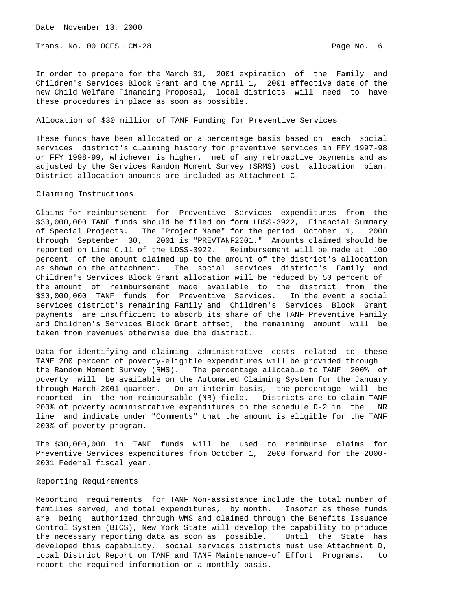Trans. No. 00 OCFS LCM-28 **Page No. 6** Page No. 6

In order to prepare for the March 31, 2001 expiration of the Family and Children's Services Block Grant and the April 1, 2001 effective date of the new Child Welfare Financing Proposal, local districts will need to have these procedures in place as soon as possible.

#### Allocation of \$30 million of TANF Funding for Preventive Services

These funds have been allocated on a percentage basis based on each social services district's claiming history for preventive services in FFY 1997-98 or FFY 1998-99, whichever is higher, net of any retroactive payments and as adjusted by the Services Random Moment Survey (SRMS) cost allocation plan. District allocation amounts are included as Attachment C.

#### Claiming Instructions

Claims for reimbursement for Preventive Services expenditures from the \$30,000,000 TANF funds should be filed on form LDSS-3922, Financial Summary of Special Projects. The "Project Name" for the period October 1, 2000 through September 30, 2001 is "PREVTANF2001." Amounts claimed should be reported on Line C.11 of the LDSS-3922. Reimbursement will be made at 100 percent of the amount claimed up to the amount of the district's allocation as shown on the attachment. The social services district's Family and Children's Services Block Grant allocation will be reduced by 50 percent of the amount of reimbursement made available to the district from the \$30,000,000 TANF funds for Preventive Services. In the event a social services district's remaining Family and Children's Services Block Grant payments are insufficient to absorb its share of the TANF Preventive Family and Children's Services Block Grant offset, the remaining amount will be taken from revenues otherwise due the district.

Data for identifying and claiming administrative costs related to these TANF 200 percent of poverty-eligible expenditures will be provided through the Random Moment Survey (RMS). The percentage allocable to TANF 200% of poverty will be available on the Automated Claiming System for the January through March 2001 quarter. On an interim basis, the percentage will be reported in the non-reimbursable (NR) field. Districts are to claim TANF 200% of poverty administrative expenditures on the schedule D-2 in the NR line and indicate under "Comments" that the amount is eligible for the TANF 200% of poverty program.

The \$30,000,000 in TANF funds will be used to reimburse claims for Preventive Services expenditures from October 1, 2000 forward for the 2000- 2001 Federal fiscal year.

#### Reporting Requirements

Reporting requirements for TANF Non-assistance include the total number of families served, and total expenditures, by month. Insofar as these funds are being authorized through WMS and claimed through the Benefits Issuance Control System (BICS), New York State will develop the capability to produce the necessary reporting data as soon as possible. Until the State has developed this capability, social services districts must use Attachment D, Local District Report on TANF and TANF Maintenance-of Effort Programs, to report the required information on a monthly basis.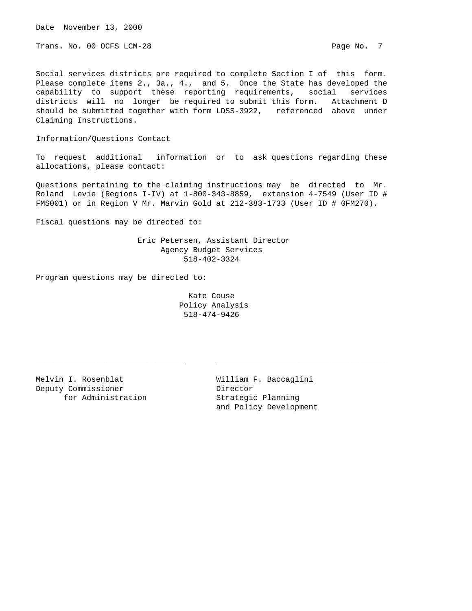Date November 13, 2000

Trans. No. 00 OCFS LCM-28 **Page No. 7** Page No. 7

Social services districts are required to complete Section I of this form. Please complete items 2., 3a., 4., and 5. Once the State has developed the capability to support these reporting requirements, social services districts will no longer be required to submit this form. Attachment D should be submitted together with form LDSS-3922, referenced above under Claiming Instructions.

Information/Questions Contact

To request additional information or to ask questions regarding these allocations, please contact:

Questions pertaining to the claiming instructions may be directed to Mr. Roland Levie (Regions I-IV) at 1-800-343-8859, extension 4-7549 (User ID # FMS001) or in Region V Mr. Marvin Gold at 212-383-1733 (User ID # 0FM270).

Fiscal questions may be directed to:

 Eric Petersen, Assistant Director Agency Budget Services 518-402-3324

Program questions may be directed to:

 Kate Couse Policy Analysis 518-474-9426

\_\_\_\_\_\_\_\_\_\_\_\_\_\_\_\_\_\_\_\_\_\_\_\_\_\_\_\_\_\_\_\_ \_\_\_\_\_\_\_\_\_\_\_\_\_\_\_\_\_\_\_\_\_\_\_\_\_\_\_\_\_\_\_\_\_\_\_\_\_

Melvin I. Rosenblat **William F. Baccaglini** Deputy Commissioner **Director** for Administration 50 Strategic Planning

and Policy Development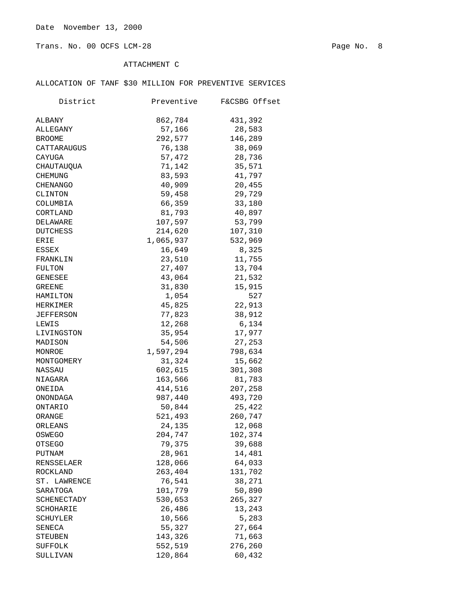Trans. No. 00 OCFS LCM-28 Page No. 8

# ATTACHMENT C

## ALLOCATION OF TANF \$30 MILLION FOR PREVENTIVE SERVICES

| District      | Preventive | F&CSBG Offset |
|---------------|------------|---------------|
| ALBANY        | 862,784    | 431,392       |
| ALLEGANY      | 57,166     | 28,583        |
| <b>BROOME</b> | 292,577    | 146,289       |
| CATTARAUGUS   | 76,138     | 38,069        |
| CAYUGA        | 57,472     | 28,736        |
| CHAUTAUQUA    | 71,142     | 35,571        |
| CHEMUNG       | 83,593     | 41,797        |
| CHENANGO      | 40,909     | 20,455        |
| CLINTON       | 59,458     | 29,729        |
| COLUMBIA      | 66,359     | 33,180        |
| CORTLAND      | 81,793     | 40,897        |
| DELAWARE      | 107,597    | 53,799        |
| DUTCHESS      | 214,620    | 107,310       |
| ERIE          | 1,065,937  | 532,969       |
| ESSEX         | 16,649     | 8,325         |
| FRANKLIN      | 23,510     | 11,755        |
| FULTON        | 27,407     | 13,704        |
| GENESEE       | 43,064     | 21,532        |
| GREENE        | 31,830     | 15,915        |
| HAMILTON      | 1,054      | 527           |
| HERKIMER      | 45,825     | 22,913        |
| JEFFERSON     | 77,823     | 38,912        |
| LEWIS         | 12,268     | 6,134         |
| LIVINGSTON    | 35,954     | 17,977        |
| MADISON       | 54,506     | 27,253        |
| MONROE        | 1,597,294  | 798,634       |
| MONTGOMERY    | 31,324     | 15,662        |
| NASSAU        | 602,615    | 301,308       |
| NIAGARA       | 163,566    | 81,783        |
| ONEIDA        | 414,516    | 207,258       |
| ONONDAGA      | 987,440    | 493,720       |
| ONTARIO       | 50,844     | 25,422        |
| ORANGE        | 521,493    | 260,747       |
| ORLEANS       | 24,135     | 12,068        |
| OSWEGO        | 204,747    | 102,374       |
| OTSEGO        | 79,375     | 39,688        |
| PUTNAM        | 28,961     | 14,481        |
| RENSSELAER    | 128,066    | 64,033        |
| ROCKLAND      | 263,404    | 131,702       |
| ST. LAWRENCE  | 76,541     | 38,271        |
| SARATOGA      | 101,779    | 50,890        |
| SCHENECTADY   | 530,653    | 265,327       |
| SCHOHARIE     | 26,486     | 13,243        |
| SCHUYLER      | 10,566     | 5,283         |
| SENECA        | 55,327     | 27,664        |
| STEUBEN       | 143,326    | 71,663        |
| SUFFOLK       | 552,519    | 276,260       |
| SULLIVAN      | 120,864    | 60,432        |